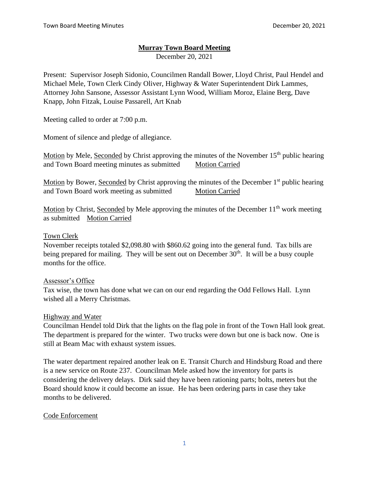## **Murray Town Board Meeting**

December 20, 2021

Present: Supervisor Joseph Sidonio, Councilmen Randall Bower, Lloyd Christ, Paul Hendel and Michael Mele, Town Clerk Cindy Oliver, Highway & Water Superintendent Dirk Lammes, Attorney John Sansone, Assessor Assistant Lynn Wood, William Moroz, Elaine Berg, Dave Knapp, John Fitzak, Louise Passarell, Art Knab

Meeting called to order at 7:00 p.m.

Moment of silence and pledge of allegiance.

Motion by Mele, Seconded by Christ approving the minutes of the November  $15<sup>th</sup>$  public hearing and Town Board meeting minutes as submitted Motion Carried

Motion by Bower, Seconded by Christ approving the minutes of the December  $1<sup>st</sup>$  public hearing and Town Board work meeting as submitted Motion Carried

Motion by Christ, Seconded by Mele approving the minutes of the December  $11<sup>th</sup>$  work meeting as submitted Motion Carried

### Town Clerk

November receipts totaled \$2,098.80 with \$860.62 going into the general fund. Tax bills are being prepared for mailing. They will be sent out on December 30<sup>th</sup>. It will be a busy couple months for the office.

### Assessor's Office

Tax wise, the town has done what we can on our end regarding the Odd Fellows Hall. Lynn wished all a Merry Christmas.

### Highway and Water

Councilman Hendel told Dirk that the lights on the flag pole in front of the Town Hall look great. The department is prepared for the winter. Two trucks were down but one is back now. One is still at Beam Mac with exhaust system issues.

The water department repaired another leak on E. Transit Church and Hindsburg Road and there is a new service on Route 237. Councilman Mele asked how the inventory for parts is considering the delivery delays. Dirk said they have been rationing parts; bolts, meters but the Board should know it could become an issue. He has been ordering parts in case they take months to be delivered.

## Code Enforcement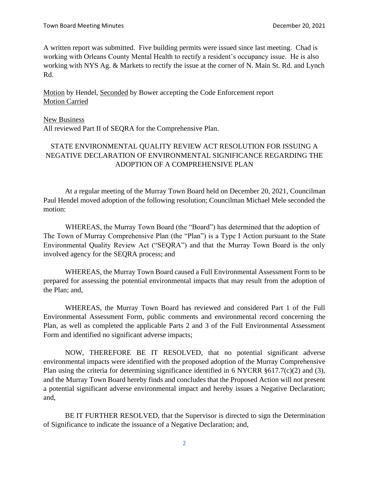A written report was submitted. Five building permits were issued since last meeting. Chad is working with Orleans County Mental Health to rectify a resident's occupancy issue. He is also working with NYS Ag. & Markets to rectify the issue at the corner of N. Main St. Rd. and Lynch Rd.

Motion by Hendel, Seconded by Bower accepting the Code Enforcement report Motion Carried

#### New Business

All reviewed Part II of SEQRA for the Comprehensive Plan.

## STATE ENVIRONMENTAL QUALITY REVIEW ACT RESOLUTION FOR ISSUING A NEGATIVE DECLARATION OF ENVIRONMENTAL SIGNIFICANCE REGARDING THE ADOPTION OF A COMPREHENSIVE PLAN

At a regular meeting of the Murray Town Board held on December 20, 2021, Councilman Paul Hendel moved adoption of the following resolution; Councilman Michael Mele seconded the motion:

WHEREAS, the Murray Town Board (the "Board") has determined that the adoption of The Town of Murray Comprehensive Plan (the "Plan") is a Type I Action pursuant to the State Environmental Quality Review Act ("SEQRA") and that the Murray Town Board is the only involved agency for the SEQRA process; and

WHEREAS, the Murray Town Board caused a Full Environmental Assessment Form to be prepared for assessing the potential environmental impacts that may result from the adoption of the Plan; and,

WHEREAS, the Murray Town Board has reviewed and considered Part 1 of the Full Environmental Assessment Form, public comments and environmental record concerning the Plan, as well as completed the applicable Parts 2 and 3 of the Full Environmental Assessment Form and identified no significant adverse impacts;

NOW, THEREFORE BE IT RESOLVED, that no potential significant adverse environmental impacts were identified with the proposed adoption of the Murray Comprehensive Plan using the criteria for determining significance identified in 6 NYCRR §617.7(c)(2) and (3), and the Murray Town Board hereby finds and concludes that the Proposed Action will not present a potential significant adverse environmental impact and hereby issues a Negative Declaration; and,

BE IT FURTHER RESOLVED, that the Supervisor is directed to sign the Determination of Significance to indicate the issuance of a Negative Declaration; and,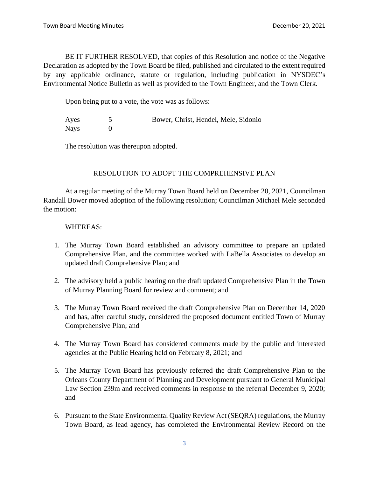BE IT FURTHER RESOLVED, that copies of this Resolution and notice of the Negative Declaration as adopted by the Town Board be filed, published and circulated to the extent required by any applicable ordinance, statute or regulation, including publication in NYSDEC's Environmental Notice Bulletin as well as provided to the Town Engineer, and the Town Clerk.

Upon being put to a vote, the vote was as follows:

| Ayes        | Bower, Christ, Hendel, Mele, Sidonio |
|-------------|--------------------------------------|
| <b>Nays</b> |                                      |

The resolution was thereupon adopted.

## RESOLUTION TO ADOPT THE COMPREHENSIVE PLAN

At a regular meeting of the Murray Town Board held on December 20, 2021, Councilman Randall Bower moved adoption of the following resolution; Councilman Michael Mele seconded the motion:

### WHEREAS:

- 1. The Murray Town Board established an advisory committee to prepare an updated Comprehensive Plan, and the committee worked with LaBella Associates to develop an updated draft Comprehensive Plan; and
- 2. The advisory held a public hearing on the draft updated Comprehensive Plan in the Town of Murray Planning Board for review and comment; and
- 3. The Murray Town Board received the draft Comprehensive Plan on December 14, 2020 and has, after careful study, considered the proposed document entitled Town of Murray Comprehensive Plan; and
- 4. The Murray Town Board has considered comments made by the public and interested agencies at the Public Hearing held on February 8, 2021; and
- 5. The Murray Town Board has previously referred the draft Comprehensive Plan to the Orleans County Department of Planning and Development pursuant to General Municipal Law Section 239m and received comments in response to the referral December 9, 2020; and
- 6. Pursuant to the State Environmental Quality Review Act (SEQRA) regulations, the Murray Town Board, as lead agency, has completed the Environmental Review Record on the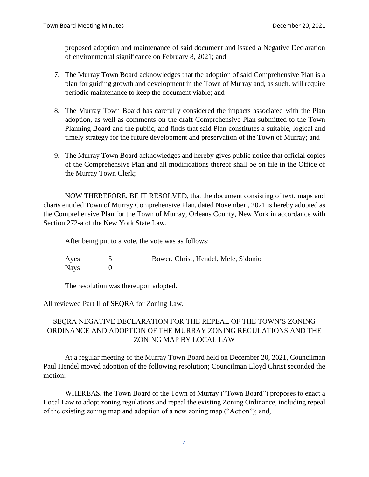proposed adoption and maintenance of said document and issued a Negative Declaration of environmental significance on February 8, 2021; and

- 7. The Murray Town Board acknowledges that the adoption of said Comprehensive Plan is a plan for guiding growth and development in the Town of Murray and, as such, will require periodic maintenance to keep the document viable; and
- 8. The Murray Town Board has carefully considered the impacts associated with the Plan adoption, as well as comments on the draft Comprehensive Plan submitted to the Town Planning Board and the public, and finds that said Plan constitutes a suitable, logical and timely strategy for the future development and preservation of the Town of Murray; and
- 9. The Murray Town Board acknowledges and hereby gives public notice that official copies of the Comprehensive Plan and all modifications thereof shall be on file in the Office of the Murray Town Clerk;

NOW THEREFORE, BE IT RESOLVED, that the document consisting of text, maps and charts entitled Town of Murray Comprehensive Plan, dated November., 2021 is hereby adopted as the Comprehensive Plan for the Town of Murray, Orleans County, New York in accordance with Section 272-a of the New York State Law.

After being put to a vote, the vote was as follows:

Ayes 5 Bower, Christ, Hendel, Mele, Sidonio Nays 0

The resolution was thereupon adopted.

All reviewed Part II of SEQRA for Zoning Law.

# SEQRA NEGATIVE DECLARATION FOR THE REPEAL OF THE TOWN'S ZONING ORDINANCE AND ADOPTION OF THE MURRAY ZONING REGULATIONS AND THE ZONING MAP BY LOCAL LAW

At a regular meeting of the Murray Town Board held on December 20, 2021, Councilman Paul Hendel moved adoption of the following resolution; Councilman Lloyd Christ seconded the motion:

WHEREAS, the Town Board of the Town of Murray ("Town Board") proposes to enact a Local Law to adopt zoning regulations and repeal the existing Zoning Ordinance, including repeal of the existing zoning map and adoption of a new zoning map ("Action"); and,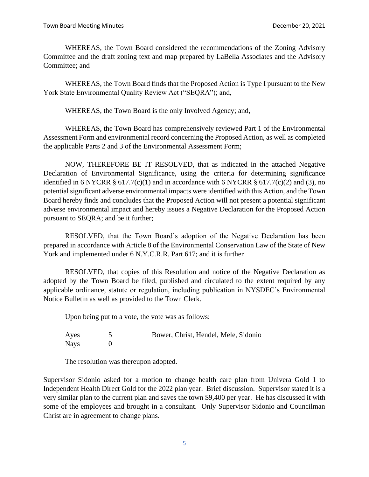WHEREAS, the Town Board considered the recommendations of the Zoning Advisory Committee and the draft zoning text and map prepared by LaBella Associates and the Advisory Committee; and

WHEREAS, the Town Board finds that the Proposed Action is Type I pursuant to the New York State Environmental Quality Review Act ("SEQRA"); and,

WHEREAS, the Town Board is the only Involved Agency; and,

WHEREAS, the Town Board has comprehensively reviewed Part 1 of the Environmental Assessment Form and environmental record concerning the Proposed Action, as well as completed the applicable Parts 2 and 3 of the Environmental Assessment Form;

NOW, THEREFORE BE IT RESOLVED, that as indicated in the attached Negative Declaration of Environmental Significance, using the criteria for determining significance identified in 6 NYCRR  $\S$  617.7(c)(1) and in accordance with 6 NYCRR  $\S$  617.7(c)(2) and (3), no potential significant adverse environmental impacts were identified with this Action, and the Town Board hereby finds and concludes that the Proposed Action will not present a potential significant adverse environmental impact and hereby issues a Negative Declaration for the Proposed Action pursuant to SEQRA; and be it further;

RESOLVED, that the Town Board's adoption of the Negative Declaration has been prepared in accordance with Article 8 of the Environmental Conservation Law of the State of New York and implemented under 6 N.Y.C.R.R. Part 617; and it is further

RESOLVED, that copies of this Resolution and notice of the Negative Declaration as adopted by the Town Board be filed, published and circulated to the extent required by any applicable ordinance, statute or regulation, including publication in NYSDEC's Environmental Notice Bulletin as well as provided to the Town Clerk.

Upon being put to a vote, the vote was as follows:

| Ayes        | Bower, Christ, Hendel, Mele, Sidonio |
|-------------|--------------------------------------|
| <b>Nays</b> |                                      |

The resolution was thereupon adopted.

Supervisor Sidonio asked for a motion to change health care plan from Univera Gold 1 to Independent Health Direct Gold for the 2022 plan year. Brief discussion. Supervisor stated it is a very similar plan to the current plan and saves the town \$9,400 per year. He has discussed it with some of the employees and brought in a consultant. Only Supervisor Sidonio and Councilman Christ are in agreement to change plans.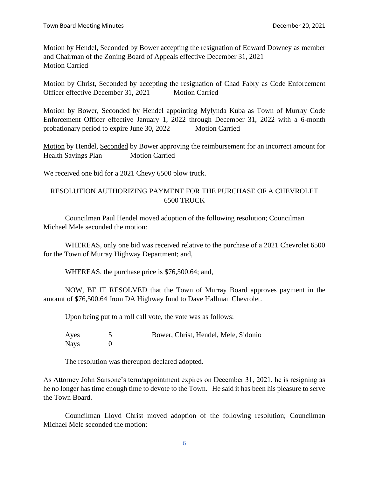Motion by Hendel, Seconded by Bower accepting the resignation of Edward Downey as member and Chairman of the Zoning Board of Appeals effective December 31, 2021 Motion Carried

Motion by Christ, Seconded by accepting the resignation of Chad Fabry as Code Enforcement Officer effective December 31, 2021 Motion Carried

Motion by Bower, Seconded by Hendel appointing Mylynda Kuba as Town of Murray Code Enforcement Officer effective January 1, 2022 through December 31, 2022 with a 6-month probationary period to expire June 30, 2022 Motion Carried

Motion by Hendel, Seconded by Bower approving the reimbursement for an incorrect amount for Health Savings Plan Motion Carried

We received one bid for a 2021 Chevy 6500 plow truck.

## RESOLUTION AUTHORIZING PAYMENT FOR THE PURCHASE OF A CHEVROLET 6500 TRUCK

Councilman Paul Hendel moved adoption of the following resolution; Councilman Michael Mele seconded the motion:

WHEREAS, only one bid was received relative to the purchase of a 2021 Chevrolet 6500 for the Town of Murray Highway Department; and,

WHEREAS, the purchase price is \$76,500.64; and,

NOW, BE IT RESOLVED that the Town of Murray Board approves payment in the amount of \$76,500.64 from DA Highway fund to Dave Hallman Chevrolet.

Upon being put to a roll call vote, the vote was as follows:

| Ayes        | Bower, Christ, Hendel, Mele, Sidonio |
|-------------|--------------------------------------|
| <b>Nays</b> |                                      |

The resolution was thereupon declared adopted.

As Attorney John Sansone's term/appointment expires on December 31, 2021, he is resigning as he no longer has time enough time to devote to the Town. He said it has been his pleasure to serve the Town Board.

Councilman Lloyd Christ moved adoption of the following resolution; Councilman Michael Mele seconded the motion: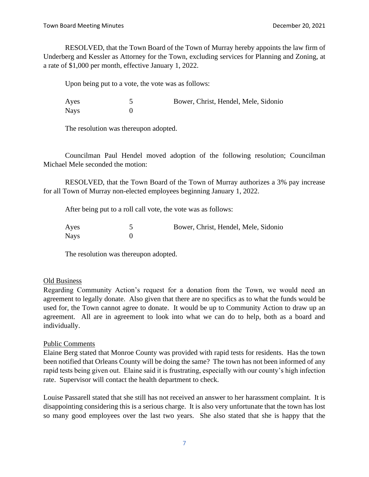RESOLVED, that the Town Board of the Town of Murray hereby appoints the law firm of Underberg and Kessler as Attorney for the Town, excluding services for Planning and Zoning, at a rate of \$1,000 per month, effective January 1, 2022.

Upon being put to a vote, the vote was as follows:

Ayes 5 Bower, Christ, Hendel, Mele, Sidonio Nays 0

The resolution was thereupon adopted.

Councilman Paul Hendel moved adoption of the following resolution; Councilman Michael Mele seconded the motion:

RESOLVED, that the Town Board of the Town of Murray authorizes a 3% pay increase for all Town of Murray non-elected employees beginning January 1, 2022.

After being put to a roll call vote, the vote was as follows:

| Ayes | Bower, Christ, Hendel, Mele, Sidonio |  |  |
|------|--------------------------------------|--|--|
| Nays |                                      |  |  |

The resolution was thereupon adopted.

### Old Business

Regarding Community Action's request for a donation from the Town, we would need an agreement to legally donate. Also given that there are no specifics as to what the funds would be used for, the Town cannot agree to donate. It would be up to Community Action to draw up an agreement. All are in agreement to look into what we can do to help, both as a board and individually.

### Public Comments

Elaine Berg stated that Monroe County was provided with rapid tests for residents. Has the town been notified that Orleans County will be doing the same? The town has not been informed of any rapid tests being given out. Elaine said it is frustrating, especially with our county's high infection rate. Supervisor will contact the health department to check.

Louise Passarell stated that she still has not received an answer to her harassment complaint. It is disappointing considering this is a serious charge. It is also very unfortunate that the town has lost so many good employees over the last two years. She also stated that she is happy that the